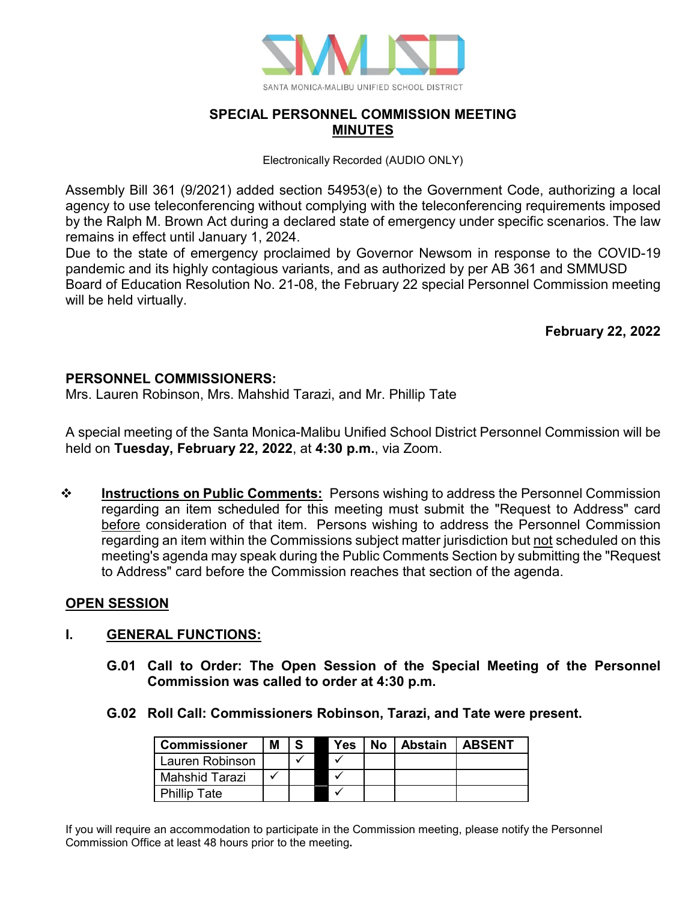

## **SPECIAL PERSONNEL COMMISSION MEETING MINUTES**

Electronically Recorded (AUDIO ONLY)

Assembly Bill 361 (9/2021) added section 54953(e) to the Government Code, authorizing a local agency to use teleconferencing without complying with the teleconferencing requirements imposed by the Ralph M. Brown Act during a declared state of emergency under specific scenarios. The law remains in effect until January 1, 2024.

Due to the state of emergency proclaimed by Governor Newsom in response to the COVID-19 pandemic and its highly contagious variants, and as authorized by per AB 361 and SMMUSD Board of Education Resolution No. 21-08, the February 22 special Personnel Commission meeting will be held virtually.

**February 22, 2022**

#### **PERSONNEL COMMISSIONERS:**

Mrs. Lauren Robinson, Mrs. Mahshid Tarazi, and Mr. Phillip Tate

A special meeting of the Santa Monica-Malibu Unified School District Personnel Commission will be held on **Tuesday, February 22, 2022**, at **4:30 p.m.**, via Zoom.

**<sup>\*</sup>** Instructions on Public Comments: Persons wishing to address the Personnel Commission regarding an item scheduled for this meeting must submit the "Request to Address" card before consideration of that item. Persons wishing to address the Personnel Commission regarding an item within the Commissions subject matter jurisdiction but not scheduled on this meeting's agenda may speak during the Public Comments Section by submitting the "Request to Address" card before the Commission reaches that section of the agenda.

#### **OPEN SESSION**

#### **I. GENERAL FUNCTIONS:**

- **G.01 Call to Order: The Open Session of the Special Meeting of the Personnel Commission was called to order at 4:30 p.m.**
- **G.02 Roll Call: Commissioners Robinson, Tarazi, and Tate were present.**

| <b>Commissioner</b> | Μ |  | Yes | No | <b>Abstain</b> | <b>LABSENT</b> |
|---------------------|---|--|-----|----|----------------|----------------|
| Lauren Robinson     |   |  |     |    |                |                |
| Mahshid Tarazi      |   |  |     |    |                |                |
| <b>Phillip Tate</b> |   |  |     |    |                |                |

If you will require an accommodation to participate in the Commission meeting, please notify the Personnel Commission Office at least 48 hours prior to the meeting**.**